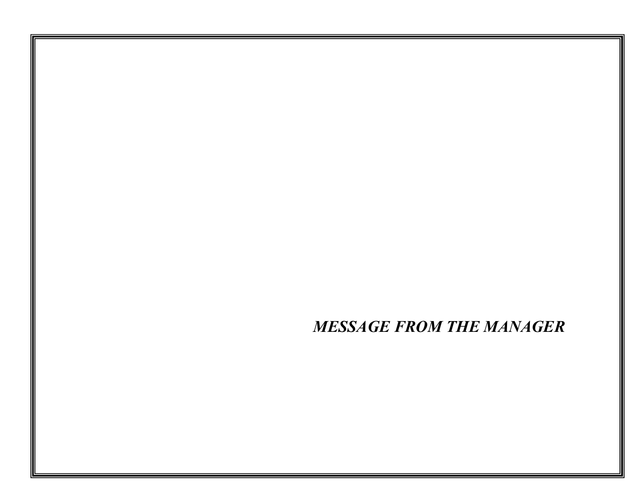*MESSAGE FROM THE MANAGER*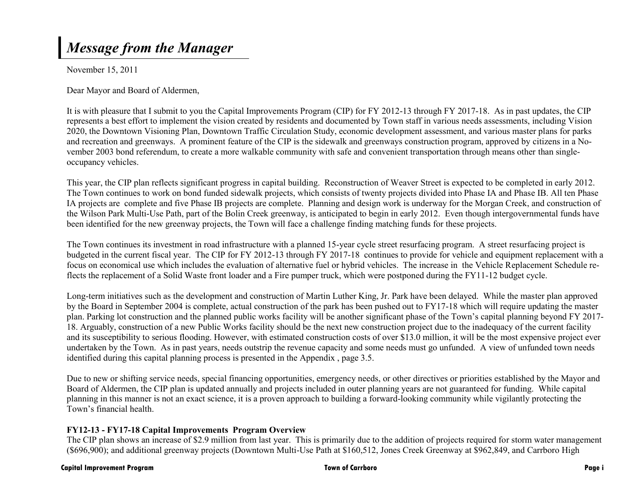## *Message from the Manager*

November 15, 2011

Dear Mayor and Board of Aldermen,

It is with pleasure that I submit to you the Capital Improvements Program (CIP) for FY 2012-13 through FY 2017-18. As in past updates, the CIP represents a best effort to implement the vision created by residents and documented by Town staff in various needs assessments, including Vision 2020, the Downtown Visioning Plan, Downtown Traffic Circulation Study, economic development assessment, and various master plans for parks and recreation and greenways. A prominent feature of the CIP is the sidewalk and greenways construction program, approved by citizens in a November 2003 bond referendum, to create a more walkable community with safe and convenient transportation through means other than singleoccupancy vehicles.

This year, the CIP plan reflects significant progress in capital building. Reconstruction of Weaver Street is expected to be completed in early 2012. The Town continues to work on bond funded sidewalk projects, which consists of twenty projects divided into Phase IA and Phase IB. All ten Phase IA projects are complete and five Phase IB projects are complete. Planning and design work is underway for the Morgan Creek, and construction of the Wilson Park Multi-Use Path, part of the Bolin Creek greenway, is anticipated to begin in early 2012. Even though intergovernmental funds have been identified for the new greenway projects, the Town will face a challenge finding matching funds for these projects.

The Town continues its investment in road infrastructure with a planned 15-year cycle street resurfacing program. A street resurfacing project is budgeted in the current fiscal year. The CIP for FY 2012-13 through FY 2017-18 continues to provide for vehicle and equipment replacement with a focus on economical use which includes the evaluation of alternative fuel or hybrid vehicles. The increase in the Vehicle Replacement Schedule reflects the replacement of a Solid Waste front loader and a Fire pumper truck, which were postponed during the FY11-12 budget cycle.

Long-term initiatives such as the development and construction of Martin Luther King, Jr. Park have been delayed. While the master plan approved by the Board in September 2004 is complete, actual construction of the park has been pushed out to FY17-18 which will require updating the master plan. Parking lot construction and the planned public works facility will be another significant phase of the Town's capital planning beyond FY 2017- 18. Arguably, construction of a new Public Works facility should be the next new construction project due to the inadequacy of the current facility and its susceptibility to serious flooding. However, with estimated construction costs of over \$13.0 million, it will be the most expensive project ever undertaken by the Town. As in past years, needs outstrip the revenue capacity and some needs must go unfunded. A view of unfunded town needs identified during this capital planning process is presented in the Appendix , page 3.5.

Due to new or shifting service needs, special financing opportunities, emergency needs, or other directives or priorities established by the Mayor and Board of Aldermen, the CIP plan is updated annually and projects included in outer planning years are not guaranteed for funding. While capital planning in this manner is not an exact science, it is a proven approach to building a forward-looking community while vigilantly protecting the Town's financial health.

## **FY12-13 - FY17-18 Capital Improvements Program Overview**

The CIP plan shows an increase of \$2.9 million from last year. This is primarily due to the addition of projects required for storm water management (\$696,900); and additional greenway projects (Downtown Multi-Use Path at \$160,512, Jones Creek Greenway at \$962,849, and Carrboro High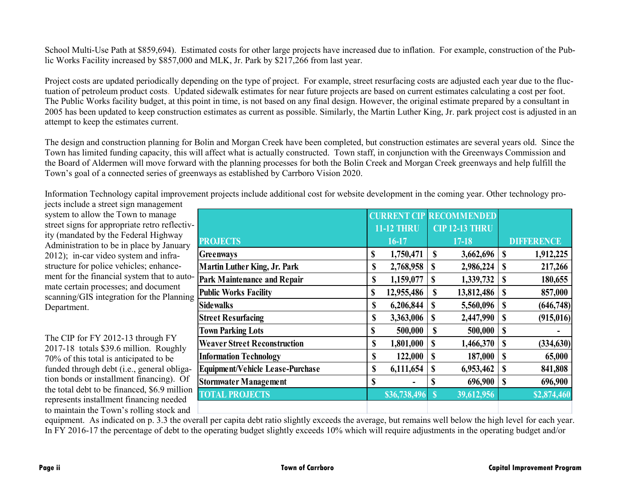School Multi-Use Path at \$859,694). Estimated costs for other large projects have increased due to inflation. For example, construction of the Public Works Facility increased by \$857,000 and MLK, Jr. Park by \$217,266 from last year.

Project costs are updated periodically depending on the type of project. For example, street resurfacing costs are adjusted each year due to the fluctuation of petroleum product costs. Updated sidewalk estimates for near future projects are based on current estimates calculating a cost per foot. The Public Works facility budget, at this point in time, is not based on any final design. However, the original estimate prepared by a consultant in 2005 has been updated to keep construction estimates as current as possible. Similarly, the Martin Luther King, Jr. park project cost is adjusted in an attempt to keep the estimates current.

The design and construction planning for Bolin and Morgan Creek have been completed, but construction estimates are several years old. Since the Town has limited funding capacity, this will affect what is actually constructed. Town staff, in conjunction with the Greenways Commission and the Board of Aldermen will move forward with the planning processes for both the Bolin Creek and Morgan Creek greenways and help fulfill the Town's goal of a connected series of greenways as established by Carrboro Vision 2020.

Information Technology capital improvement projects include additional cost for website development in the coming year. Other technology projects include a street sign management

system to allow the Town to manage street signs for appropriate retro reflectivity (mandated by the Federal Highway Administration to be in place by January 2012); in-car video system and infrastructure for police vehicles; enhancement for the financial system that to automate certain processes; and document scanning/GIS integration for the Planning Department.

The CIP for FY 2012-13 through FY 2017-18 totals \$39.6 million. Roughly 70% of this total is anticipated to be funded through debt (i.e., general obligation bonds or installment financing). Of the total debt to be financed, \$6.9 million represents installment financing needed to maintain the Town's rolling stock and

|                                         |    |                   |             | <b>CURRENT CIP RECOMMENDED</b> |               |                   |
|-----------------------------------------|----|-------------------|-------------|--------------------------------|---------------|-------------------|
|                                         |    | <b>11-12 THRU</b> |             | <b>CIP 12-13 THRU</b>          |               |                   |
| <b>PROJECTS</b>                         |    | 16-17             |             | $17 - 18$                      |               | <b>DIFFERENCE</b> |
| Greenways                               | \$ | 1,750,471         | \$          | 3,662,696                      | \$            | 1,912,225         |
| <b>Martin Luther King, Jr. Park</b>     | \$ | 2,768,958         | \$          | 2,986,224                      | S             | 217,266           |
| <b>Park Maintenance and Repair</b>      | \$ | 1,159,077         | $\mathbf S$ | 1,339,732                      | S             | 180,655           |
| <b>Public Works Facility</b>            | \$ | 12,955,486        | \$          | 13,812,486                     | <sup>\$</sup> | 857,000           |
| <b>Sidewalks</b>                        | \$ | 6,206,844         | \$          | 5,560,096                      | \$            | (646,748)         |
| <b>Street Resurfacing</b>               | \$ | 3,363,006         | \$          | 2,447,990                      | \$            | (915, 016)        |
| <b>Town Parking Lots</b>                | \$ | 500,000           | \$          | 500,000                        | \$            |                   |
| <b>Weaver Street Reconstruction</b>     | \$ | 1,801,000         | \$          | 1,466,370                      | S             | (334, 630)        |
| <b>Information Technology</b>           | \$ | 122,000           | \$          | 187,000                        | \$            | 65,000            |
| <b>Equipment/Vehicle Lease-Purchase</b> | \$ | 6,111,654         | \$          | 6,953,462                      | S             | 841,808           |
| <b>Stormwater Management</b>            | S  |                   | \$          | 696,900                        | S             | 696,900           |
| <b>TOTAL PROJECTS</b>                   |    | \$36,738,496      | $\mathbf S$ | 39,612,956                     |               | \$2,874,460       |
|                                         |    |                   |             |                                |               |                   |

equipment. As indicated on p. 3.3 the overall per capita debt ratio slightly exceeds the average, but remains well below the high level for each year. In FY 2016-17 the percentage of debt to the operating budget slightly exceeds 10% which will require adjustments in the operating budget and/or